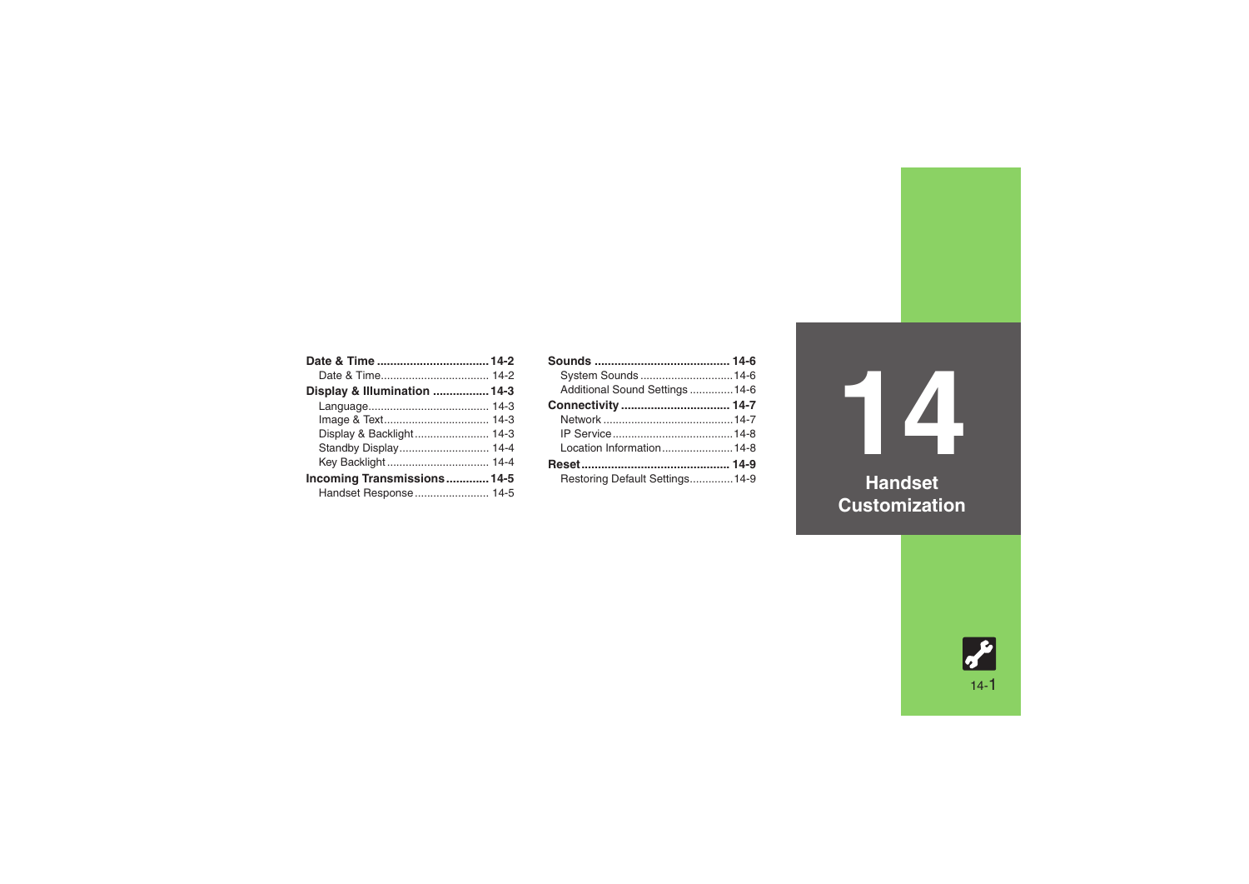| Display & Illumination  14-3 |  |
|------------------------------|--|
|                              |  |
|                              |  |
| Display & Backlight 14-3     |  |
| Standby Display 14-4         |  |
|                              |  |
| Incoming Transmissions 14-5  |  |
| Handset Response 14-5        |  |

| System Sounds 14-6              |  |
|---------------------------------|--|
| Additional Sound Settings  14-6 |  |
|                                 |  |
|                                 |  |
|                                 |  |
| Location Information14-8        |  |
|                                 |  |
| Restoring Default Settings 14-9 |  |

**14 Handset** 

**Customization**

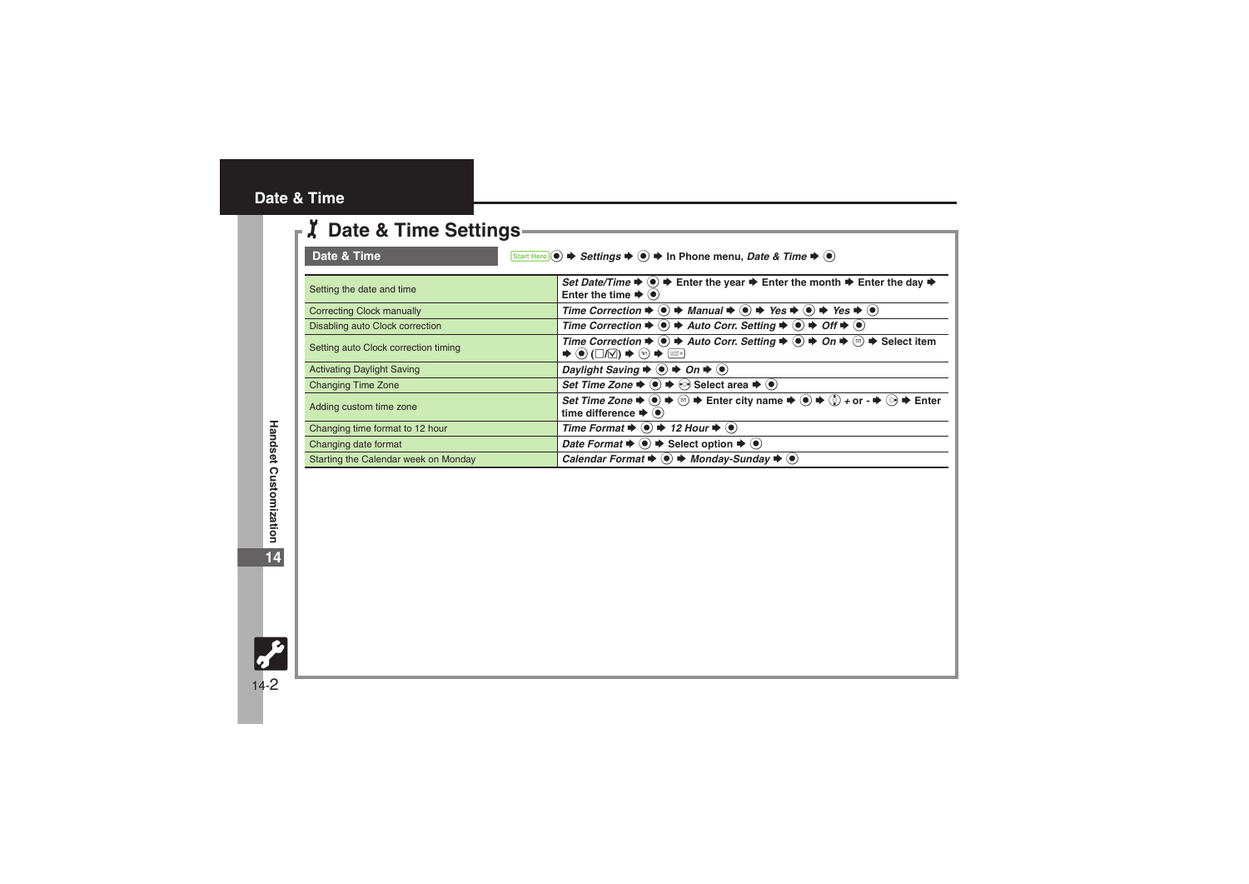#### <span id="page-1-0"></span>**Date & Time**

<span id="page-1-1"></span>

| <b>Z</b> Date & Time Settings        |                                                                                                                                                                                                                                                                                                            |
|--------------------------------------|------------------------------------------------------------------------------------------------------------------------------------------------------------------------------------------------------------------------------------------------------------------------------------------------------------|
| Date & Time                          | Start Here (.) → Settings → (.) → In Phone menu, Date & Time → (.)                                                                                                                                                                                                                                         |
| Setting the date and time            | Set Date/Time $\Rightarrow$ ( $\bullet$ ) $\Rightarrow$ Enter the year $\Rightarrow$ Enter the month $\Rightarrow$ Enter the day $\Rightarrow$<br>Enter the time $\blacktriangleright$ ( $\blacklozenge$ )                                                                                                 |
| <b>Correcting Clock manually</b>     | Time Correction $\Rightarrow$ $\bullet$ $\Rightarrow$ Manual $\Rightarrow$ $\circ$ $\Rightarrow$ Yes $\Rightarrow$ $\circ$ Yes $\Rightarrow$ $\circ$                                                                                                                                                       |
| Disabling auto Clock correction      | Time Correction $\Rightarrow$ $\circledast$ $\Rightarrow$ Auto Corr. Setting $\Rightarrow$ $\circledast$ $\Rightarrow$ Off $\Rightarrow$ $\circledast$                                                                                                                                                     |
| Setting auto Clock correction timing | Time Correction $\Rightarrow$ ( $\bullet$ ) $\Rightarrow$ Auto Corr. Setting $\Rightarrow$ ( $\bullet$ ) $\Rightarrow$ On $\Rightarrow$ ( $\circ$ ) $\Rightarrow$ Select item<br>$\blacktriangleright \textcircled{0} (\Box/\Box) \blacktriangleright \textcircled{v} \blacktriangleright \textcircled{w}$ |
| <b>Activating Daylight Saving</b>    | Daylight Saving $\Rightarrow$ ( $\bullet$ ) $\Rightarrow$ On $\Rightarrow$ ( $\bullet$ )                                                                                                                                                                                                                   |
| <b>Changing Time Zone</b>            | Set Time Zone $\blacktriangleright \textcircled{\scriptsize{\bullet}} \blacktriangleright \textcircled{\scriptsize{\bullet}}$ Select area $\blacktriangleright \textcircled{\scriptsize{\bullet}}$                                                                                                         |
| Adding custom time zone              | Set Time Zone $\Rightarrow$ $\circledast$ $\Rightarrow$ $\circledast$ $\Rightarrow$ Enter city name $\Rightarrow$ $\circledast$ $\Rightarrow$ $\circledast$ + or - $\Rightarrow$ $\circledast$ $\Rightarrow$ Enter<br>time difference $\blacktriangleright$ ( $\blacklozenge$ )                            |
| Changing time format to 12 hour      | Time Format $\Rightarrow$ ( $\bullet$ ) $\Rightarrow$ 12 Hour $\Rightarrow$ ( $\bullet$ )                                                                                                                                                                                                                  |
| Changing date format                 | <i>Date Format</i> $\bullet$ ( $\bullet$ ) $\bullet$ Select option $\bullet$ ( $\bullet$ )                                                                                                                                                                                                                 |
| Starting the Calendar week on Monday | Calendar Format $\Rightarrow$ ( $\bullet$ ) $\Rightarrow$ Monday-Sunday $\Rightarrow$ ( $\bullet$ )                                                                                                                                                                                                        |

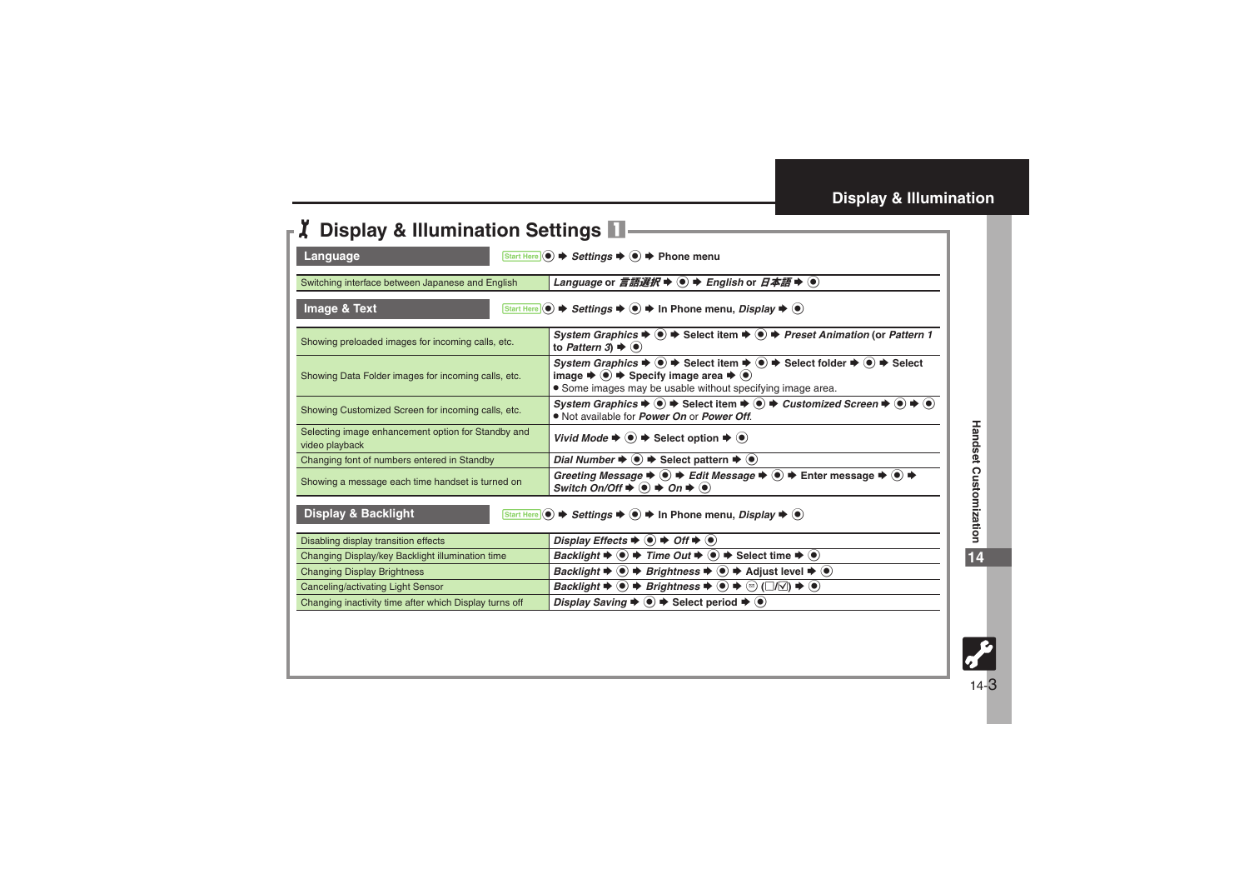<span id="page-2-3"></span><span id="page-2-2"></span><span id="page-2-1"></span>

| <b>Z</b> Display & Illumination Settings                                                             |                                                                                                                                                                                                                                                                                                                      |  |
|------------------------------------------------------------------------------------------------------|----------------------------------------------------------------------------------------------------------------------------------------------------------------------------------------------------------------------------------------------------------------------------------------------------------------------|--|
| Start Here $\odot$ $\rightarrow$ Settings $\rightarrow$ $\odot$ $\rightarrow$ Phone menu<br>Language |                                                                                                                                                                                                                                                                                                                      |  |
| Switching interface between Japanese and English                                                     | Language or 言語選択 $\blacktriangleright$ ( $\blacktriangleright$ ) $\blacktriangleright$ English or $\exists$ $\blacktriangle$ $\#$ $\blacktriangleright$ ( $\blacktriangleright$                                                                                                                                      |  |
| Image & Text                                                                                         | Start Here $\circledcirc \Rightarrow$ Settings $\Rightarrow \circledcirc \Rightarrow$ In Phone menu, Display $\Rightarrow \circledcirc$                                                                                                                                                                              |  |
| Showing preloaded images for incoming calls, etc.                                                    | System Graphics $\Rightarrow$ ( $\bullet$ ) $\Rightarrow$ Select item $\Rightarrow$ ( $\bullet$ ) $\Rightarrow$ Preset Animation (or Pattern 1<br>to Pattern 3) $\blacktriangleright$ ( $\blacklozenge$ )                                                                                                            |  |
| Showing Data Folder images for incoming calls, etc.                                                  | System Graphics $\blacklozenge \odot \blacklozenge$ Select item $\blacklozenge \odot \blacklozenge$ Select folder $\blacklozenge \odot \blacklozenge$ Select<br>image $\Rightarrow$ $\bullet$ $\Rightarrow$ Specify image area $\Rightarrow$ $\bullet$<br>• Some images may be usable without specifying image area. |  |
| Showing Customized Screen for incoming calls, etc.                                                   | System Graphics $\Rightarrow$ $\circledast$ $\Rightarrow$ Select item $\Rightarrow$ $\circledast$ $\Rightarrow$ Customized Screen $\Rightarrow$ $\circledast$ $\Rightarrow$ $\circledast$<br>. Not available for <i>Power On</i> or <i>Power Off.</i>                                                                |  |
| Selecting image enhancement option for Standby and<br>video playback                                 | Vivid Mode $\Rightarrow$ $\bullet$ $\Rightarrow$ Select option $\Rightarrow$ $\bullet$ )                                                                                                                                                                                                                             |  |
| Changing font of numbers entered in Standby                                                          | Dial Number $\blacktriangleright$ $\blacklozenge$ $\blacktriangleright$ Select pattern $\blacktriangleright$ $\blacklozenge$                                                                                                                                                                                         |  |
| Showing a message each time handset is turned on                                                     | Greeting Message $\Rightarrow$ $\circledast$ $\Rightarrow$ Edit Message $\Rightarrow$ $\circledast$ $\Rightarrow$ Enter message $\Rightarrow$ $\circledast$ $\Rightarrow$<br>Switch On/Off $\Rightarrow$ $\bullet$ $\Rightarrow$ On $\Rightarrow$ $\bullet$                                                          |  |
| <b>Display &amp; Backlight</b>                                                                       | Start Here $\circledcirc \Rightarrow$ Settings $\Rightarrow \circledcirc \Rightarrow$ In Phone menu, Display $\Rightarrow \circledcirc$                                                                                                                                                                              |  |
| Disabling display transition effects                                                                 | Display Effects $\blacklozenge$ $\blacklozenge$ $\blacktriangleright$ Off $\blacktriangleright$ $\blacklozenge$                                                                                                                                                                                                      |  |
| Changing Display/key Backlight illumination time                                                     | Backlight $\Rightarrow$ $\circledast$ $\Rightarrow$ Time Out $\Rightarrow$ $\circledast$ $\Rightarrow$ Select time $\Rightarrow$ $\circledast$                                                                                                                                                                       |  |
| <b>Changing Display Brightness</b>                                                                   | <i>Backlight</i> $\rightarrow$ <b>(e)</b> $\rightarrow$ <i>Brightness</i> $\rightarrow$ <b>(e)</b> $\rightarrow$ Adjust level $\rightarrow$ <b>(e)</b>                                                                                                                                                               |  |
| Canceling/activating Light Sensor                                                                    | <i>Backlight</i> $\blacktriangleright$ ( $\blacktriangleright$ ) $\blacktriangleright$ <i>Brightness</i> $\blacktriangleright$ ( $\blacktriangleright$ ) $\blacktriangleright$ ( $\triangle$ ) $\blacktriangleright$ ( $\blacktriangleright$ )                                                                       |  |
| Changing inactivity time after which Display turns off                                               | Display Saving $\Rightarrow$ $\bullet$ $\Rightarrow$ Select period $\Rightarrow$ $\bullet$                                                                                                                                                                                                                           |  |
|                                                                                                      |                                                                                                                                                                                                                                                                                                                      |  |

<span id="page-2-0"></span>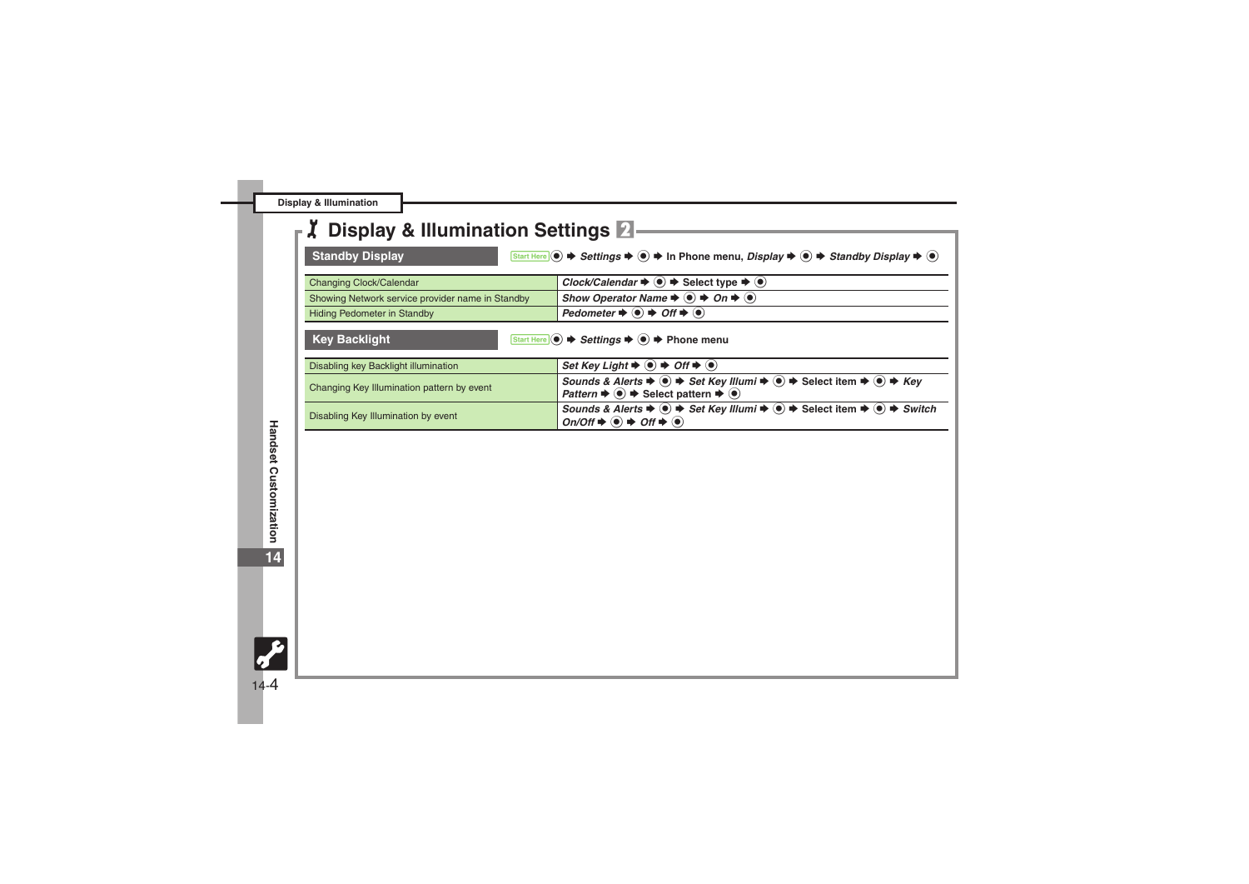**Display & Illumination**

### 1**Display & Illumination Settings** 2

<span id="page-3-1"></span><span id="page-3-0"></span>

| <b>Standby Display</b><br>Start Here $\bullet$ $\bullet$ Settings $\bullet$ $\bullet$ $\bullet$ In Phone menu, Display $\bullet$ $\bullet$ $\bullet$ Standby Display $\bullet$ $\bullet$ |                                                                                                                                                                                                                                                                                 |  |
|------------------------------------------------------------------------------------------------------------------------------------------------------------------------------------------|---------------------------------------------------------------------------------------------------------------------------------------------------------------------------------------------------------------------------------------------------------------------------------|--|
| Changing Clock/Calendar                                                                                                                                                                  | Clock/Calendar $\Rightarrow$ $\bullet$ $\Rightarrow$ Select type $\Rightarrow$ $\bullet$ )                                                                                                                                                                                      |  |
| Showing Network service provider name in Standby                                                                                                                                         | Show Operator Name $\Rightarrow$ $\bullet$ $\Rightarrow$ On $\Rightarrow$ $\bullet$                                                                                                                                                                                             |  |
| Hiding Pedometer in Standby                                                                                                                                                              | Pedometer $\Rightarrow$ ( $\bullet$ ) $\Rightarrow$ Off $\Rightarrow$ ( $\bullet$ )                                                                                                                                                                                             |  |
| <b>Key Backlight</b>                                                                                                                                                                     | Start Here $\odot$ $\blacktriangleright$ Settings $\blacktriangleright$ $\odot$ $\blacktriangleright$ Phone menu                                                                                                                                                                |  |
| Disabling key Backlight illumination                                                                                                                                                     | Set Key Light $\Rightarrow$ $\bullet$ $\Rightarrow$ Off $\Rightarrow$ $\bullet$                                                                                                                                                                                                 |  |
| Changing Key Illumination pattern by event                                                                                                                                               | Sounds & Alerts $\Rightarrow$ $\circledast$ $\Rightarrow$ Set Key Illumi $\Rightarrow$ $\circledast$ $\Rightarrow$ Select item $\Rightarrow$ $\circledast$ $\Rightarrow$ Key<br>Pattern $\Rightarrow$ $\circledast$ $\Rightarrow$ Select pattern $\Rightarrow$ $\circledast$    |  |
| Disabling Key Illumination by event                                                                                                                                                      | Sounds & Alerts $\Rightarrow$ ( $\bullet$ ) $\Rightarrow$ Set Key Illumi $\Rightarrow$ ( $\bullet$ ) $\Rightarrow$ Select item $\Rightarrow$ ( $\bullet$ ) $\Rightarrow$ Switch<br>$On/Off \Rightarrow \textcircled{\bullet} \Rightarrow Off \Rightarrow \textcircled{\bullet}$ |  |

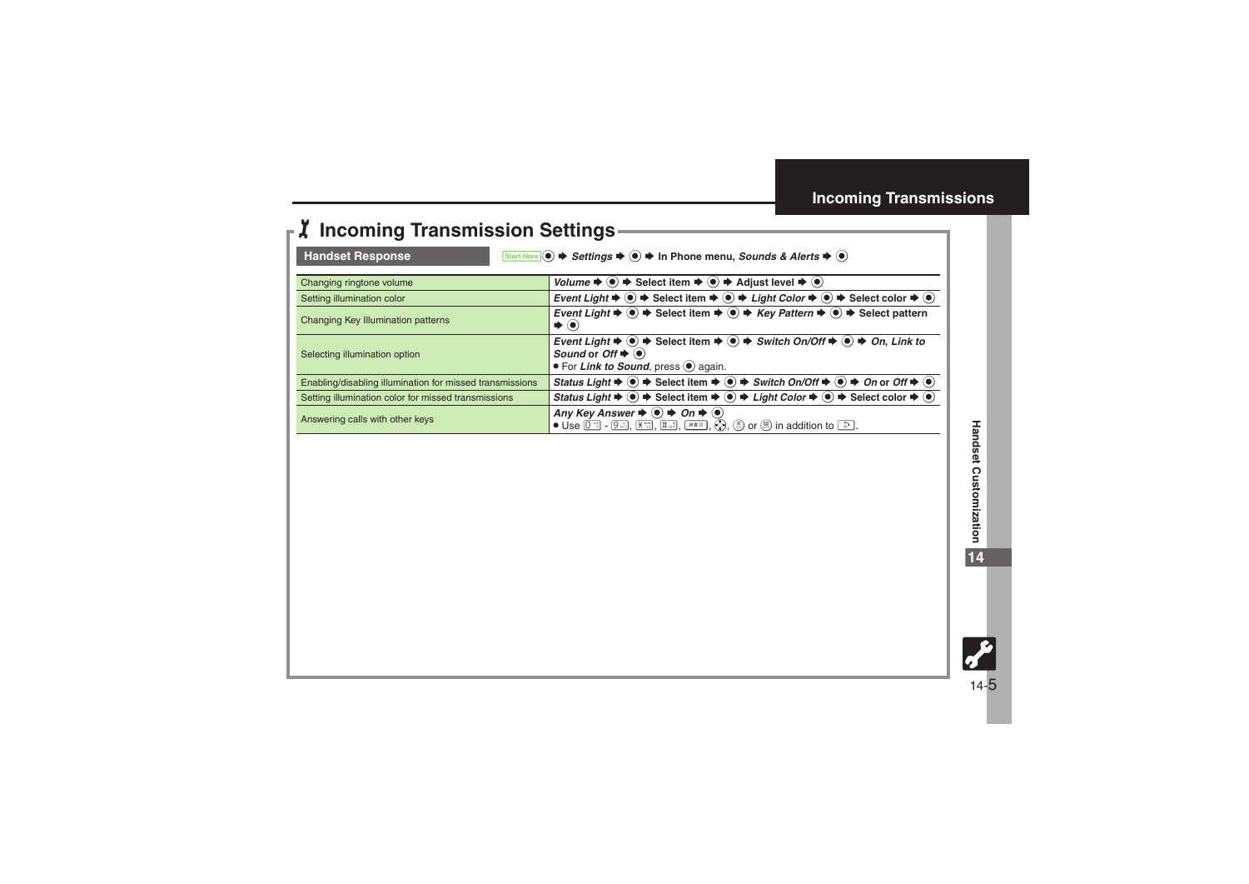## 1**Incoming Transmission Settings**

<span id="page-4-0"></span>

<span id="page-4-1"></span>Handset Response **7 8 Start Here** ● <del>></del> Settings  $\rightarrow$  ● In Phone menu, *Sounds & Alerts*  $\rightarrow$  ●

| Changing ringtone volume                                 | Volume $\Rightarrow$ $\circledast$ $\Rightarrow$ Select item $\Rightarrow$ $\circledast$ $\Rightarrow$ Adjust level $\Rightarrow$ $\circledast$                                                                                                                                                                                 |
|----------------------------------------------------------|---------------------------------------------------------------------------------------------------------------------------------------------------------------------------------------------------------------------------------------------------------------------------------------------------------------------------------|
| Setting illumination color                               | Event Light $\blacktriangleright \textcircled{\tiny{\bullet}} \blacktriangleright$ Select item $\blacktriangleright \textcircled{\tiny{\bullet}} \blacktriangleright$ Light Color $\blacktriangleright \textcircled{\tiny{\bullet}}$ Select color $\blacktriangleright \textcircled{\tiny{\bullet}}$                            |
| Changing Key Illumination patterns                       | Event Light $\Rightarrow$ $\circledast$ $\Rightarrow$ Select item $\Rightarrow$ $\circledast$ $\Rightarrow$ Key Pattern $\Rightarrow$ $\circledast$ $\Rightarrow$ Select pattern<br>$\blacktriangleright$ (e)                                                                                                                   |
| Selecting illumination option                            | Event Light $\Rightarrow$ $\circledast$ $\Rightarrow$ Select item $\Rightarrow$ $\circledast$ $\Rightarrow$ Switch On/Off $\Rightarrow$ $\circledast$ $\Rightarrow$ On, Link to<br>Sound or $Off \Rightarrow \circledast$<br>• For Link to Sound, press $\odot$ again.                                                          |
| Enabling/disabling illumination for missed transmissions | Status Light $\Rightarrow$ $\circledast$ $\Rightarrow$ Select item $\Rightarrow$ $\circledast$ $\Rightarrow$ Switch On/Off $\Rightarrow$ $\circledast$ $\Rightarrow$ On or Off $\Rightarrow$ $\circledast$                                                                                                                      |
| Setting illumination color for missed transmissions      | Status Light $\Rightarrow$ $\circledast$ $\Rightarrow$ Select item $\Rightarrow$ $\circledast$ $\Rightarrow$ Light Color $\Rightarrow$ $\circledast$ $\Rightarrow$ Select color $\Rightarrow$ $\circledast$                                                                                                                     |
| Answering calls with other keys                          | Any Key Answer $\Rightarrow$ $\bullet$ $\Rightarrow$ On $\Rightarrow$ $\bullet$<br>• Use $[0^{\frac{1}{2}}]$ - $[9^{\frac{5}{2}}]$ , $[\frac{1}{2}, \frac{1}{2}, \frac{1}{2}]$ , $[\frac{1}{2}, \frac{1}{2}]$ , $[\frac{1}{2}, \frac{1}{2}]$ , $[\frac{1}{2}, \frac{1}{2}]$ or $[\frac{1}{2}]$ in addition to $[\frac{5}{2}]$ . |

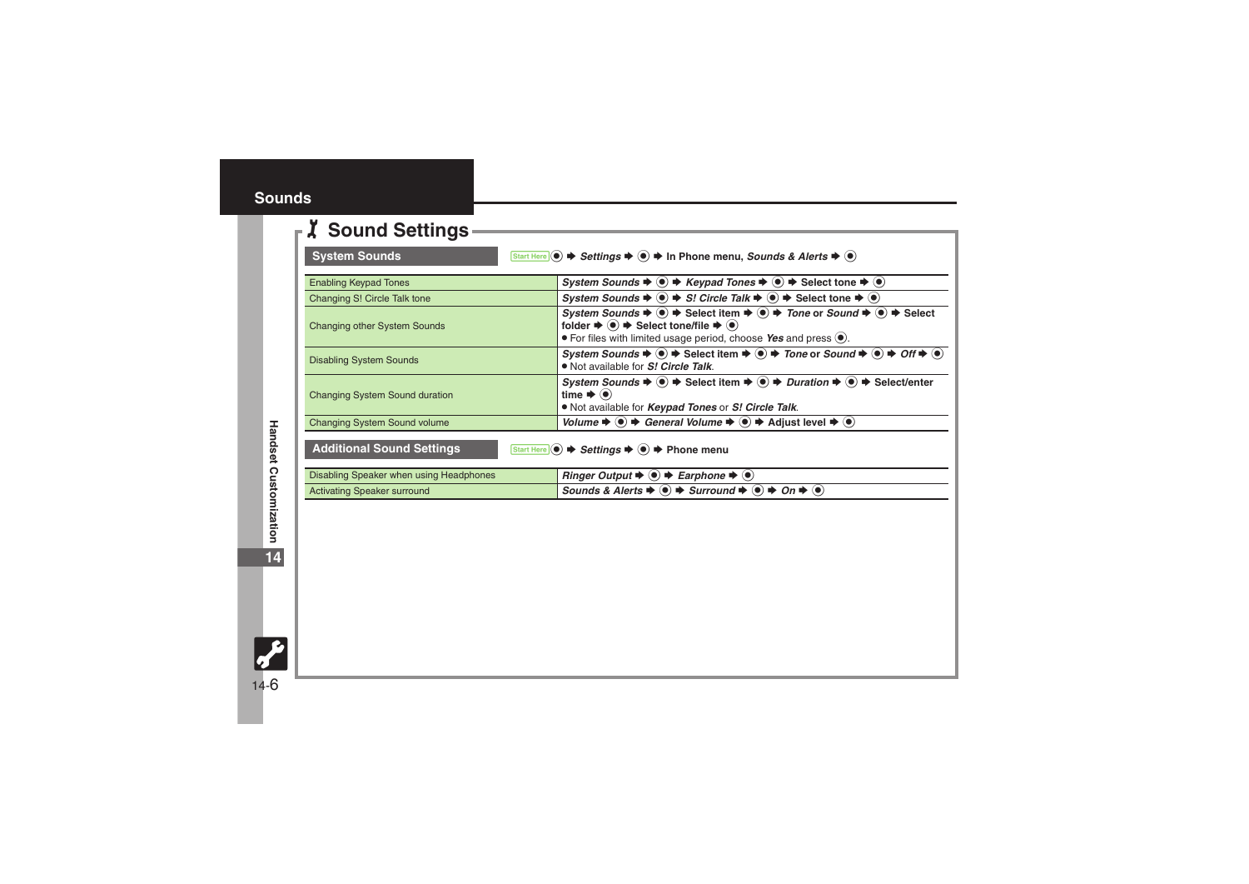#### <span id="page-5-0"></span>1**Sound Settings**

<span id="page-5-1"></span>

| <b>System Sounds</b>                    | Start Here $\odot$ $\blacktriangleright$ Settings $\blacktriangleright$ $\odot$ $\blacktriangleright$ In Phone menu, Sounds & Alerts $\blacktriangleright$ $\odot$                                                                                                                                                                                               |
|-----------------------------------------|------------------------------------------------------------------------------------------------------------------------------------------------------------------------------------------------------------------------------------------------------------------------------------------------------------------------------------------------------------------|
| <b>Enabling Keypad Tones</b>            | System Sounds $\Rightarrow$ $\circledast \Rightarrow$ Keypad Tones $\Rightarrow$ $\circledast \Rightarrow$ Select tone $\Rightarrow$ $\circledast$                                                                                                                                                                                                               |
| Changing S! Circle Talk tone            | System Sounds $\Rightarrow$ ( $\bullet$ ) $\Rightarrow$ S! Circle Talk $\Rightarrow$ ( $\bullet$ ) $\Rightarrow$ Select tone $\Rightarrow$ ( $\bullet$ )                                                                                                                                                                                                         |
| <b>Changing other System Sounds</b>     | System Sounds $\Rightarrow$ ( $\bullet$ ) $\Rightarrow$ Select item $\Rightarrow$ ( $\bullet$ ) $\Rightarrow$ Tone or Sound $\Rightarrow$ ( $\bullet$ ) $\Rightarrow$ Select<br>folder $\Rightarrow$ $\circledast$ $\Rightarrow$ Select tone/file $\Rightarrow$ $\circledast$<br>$\bullet$ For files with limited usage period, choose Yes and press $\bullet$ . |
| <b>Disabling System Sounds</b>          | System Sounds $\Rightarrow$ $\circledast \Rightarrow$ Select item $\Rightarrow$ $\circledast \Rightarrow$ Tone or Sound $\Rightarrow$ $\circledast \Rightarrow$ Off $\Rightarrow$ $\circledast$<br>. Not available for S! Circle Talk.                                                                                                                           |
| <b>Changing System Sound duration</b>   | System Sounds $\Rightarrow$ ( $\bullet$ ) $\Rightarrow$ Select item $\Rightarrow$ ( $\bullet$ ) $\Rightarrow$ Duration $\Rightarrow$ ( $\bullet$ ) $\Rightarrow$ Select/enter<br>time $\blacktriangleright$ ( $\blacklozenge$ )<br>. Not available for <i>Keypad Tones</i> or S! Circle Talk.                                                                    |
| <b>Changing System Sound volume</b>     | Volume $\Rightarrow$ $\circledast$ $\Rightarrow$ General Volume $\Rightarrow$ $\circledast$ $\Rightarrow$ Adjust level $\Rightarrow$ $\circledast$                                                                                                                                                                                                               |
| <b>Additional Sound Settings</b>        | Start Here $\odot \rightarrow$ Settings $\Rightarrow$ $\odot \rightarrow$ Phone menu                                                                                                                                                                                                                                                                             |
| Disabling Speaker when using Headphones | <i>Ringer Output</i> $\blacktriangleright$ ( $\blacklozenge$ ) $\blacktriangleright$ <i>Earphone</i> $\blacktriangleright$ ( $\blacklozenge$ )                                                                                                                                                                                                                   |
| <b>Activating Speaker surround</b>      | Sounds & Alerts $\bigstar$ ( $\bullet$ ) $\bigstar$ Surround $\bigstar$ ( $\bullet$ ) $\bigstar$ On $\bigstar$ ( $\bullet$ )                                                                                                                                                                                                                                     |

<span id="page-5-2"></span>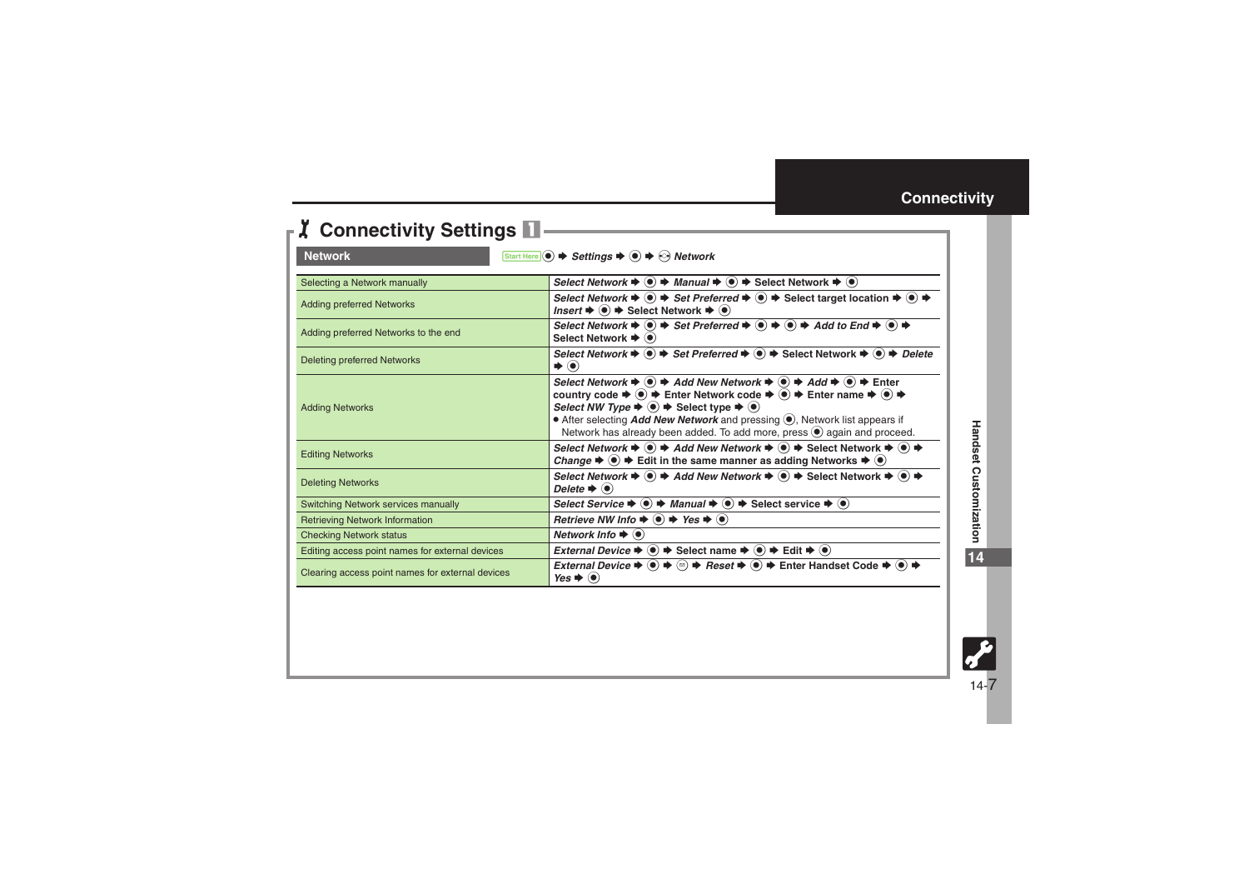<span id="page-6-1"></span>

| <b>J</b> Connectivity Settings                                                                                  |                                                                                                                                                                                                                                                                                                                                                                                                                                                                                                                                                                                                             |  |
|-----------------------------------------------------------------------------------------------------------------|-------------------------------------------------------------------------------------------------------------------------------------------------------------------------------------------------------------------------------------------------------------------------------------------------------------------------------------------------------------------------------------------------------------------------------------------------------------------------------------------------------------------------------------------------------------------------------------------------------------|--|
| <b>Network</b><br>Start Here $\odot$ $\Rightarrow$ Settings $\Rightarrow$ $\odot$ $\Rightarrow$ $\odot$ Network |                                                                                                                                                                                                                                                                                                                                                                                                                                                                                                                                                                                                             |  |
| Selecting a Network manually                                                                                    | Select Network $\blacktriangleright$ $\odot$ $\blacktriangleright$ Manual $\blacktriangleright$ $\odot$ $\blacktriangleright$ Select Network $\blacktriangleright$ $\odot$                                                                                                                                                                                                                                                                                                                                                                                                                                  |  |
| <b>Adding preferred Networks</b>                                                                                | Select Network $\blacktriangleright$ $\textcircled{\tiny{\bullet}}$ $\blacktriangleright$ Set Preferred $\blacktriangleright$ $\textcircled{\tiny{\bullet}}$ $\blacktriangleright$ Select target location $\blacktriangleright$ $\textcircled{\tiny{\bullet}}$<br><i>Insert</i> $\blacktriangleright$ ( $\blacklozenge$ ) $\blacktriangleright$ Select Network $\blacktriangleright$ ( $\blacklozenge$ )                                                                                                                                                                                                    |  |
| Adding preferred Networks to the end                                                                            | Select Network $\blacktriangleright \; \textcircled{\textcircled{\#}}\;$ Set Preferred $\blacktriangleright \; \textcircled{\textcircled{\#}}\; \textcircled{\textcircled{\#}}\;$ Add to End $\blacktriangleright \; \textcircled{\textcircled{\#}}\;$<br>Select Network $\blacktriangleright$ ( $\blacklozenge$ )                                                                                                                                                                                                                                                                                          |  |
| <b>Deleting preferred Networks</b>                                                                              | Select Network $\blacktriangleright$ ( $\blacktriangleright$ ) $\blacktriangleright$ Set Preferred $\blacktriangleright$ ( $\blacktriangleright$ ) $\blacktriangleright$ Select Network $\blacktriangleright$ ( $\blacktriangleright$ ) $\blacktriangleright$ Delete<br>$\blacktriangleright$ $\odot$                                                                                                                                                                                                                                                                                                       |  |
| <b>Adding Networks</b>                                                                                          | Select Network $\Rightarrow$ ( $\bullet$ ) $\Rightarrow$ Add New Network $\Rightarrow$ ( $\bullet$ ) $\Rightarrow$ Add $\Rightarrow$ ( $\bullet$ ) $\Rightarrow$ Enter<br>country code $\Rightarrow$ $\circledast \Rightarrow$ Enter Network code $\Rightarrow$ $\circledast \Rightarrow$ Enter name $\Rightarrow$ $\circledast \Rightarrow$<br>Select NW Type $\Rightarrow$ $\bullet$ $\Rightarrow$ Select type $\Rightarrow$ $\bullet$<br>• After selecting <i>Add New Network</i> and pressing (.), Network list appears if<br>Network has already been added. To add more, press (e) again and proceed. |  |
| <b>Editing Networks</b>                                                                                         | Select Network $\Rightarrow$ $\circledast$ $\Rightarrow$ Add New Network $\Rightarrow$ $\circledast$ $\Rightarrow$ Select Network $\Rightarrow$ $\circledast$ $\Rightarrow$<br>Change $\Rightarrow$ $\bullet$ $\Rightarrow$ Edit in the same manner as adding Networks $\Rightarrow$ $\bullet$                                                                                                                                                                                                                                                                                                              |  |
| <b>Deleting Networks</b>                                                                                        | Select Network $\Rightarrow$ ( $\bullet$ ) $\Rightarrow$ Add New Network $\Rightarrow$ ( $\bullet$ ) $\Rightarrow$ Select Network $\Rightarrow$ ( $\bullet$ ) $\Rightarrow$<br>Delete $\blacktriangleright$ ( $\blacklozenge$ )                                                                                                                                                                                                                                                                                                                                                                             |  |
| Switching Network services manually                                                                             | Select Service $\Rightarrow$ $\circledast$ $\Rightarrow$ Manual $\Rightarrow$ $\circledast$ $\Rightarrow$ Select service $\Rightarrow$ $\circledast$                                                                                                                                                                                                                                                                                                                                                                                                                                                        |  |
| <b>Retrieving Network Information</b>                                                                           | Retrieve NW Info $\blacklozenge$ $\blacklozenge$ Yes $\blacktriangleright$ $\blacklozenge$                                                                                                                                                                                                                                                                                                                                                                                                                                                                                                                  |  |
| <b>Checking Network status</b>                                                                                  | Network Info $\blacktriangleright$ ( $\blacklozenge$ )                                                                                                                                                                                                                                                                                                                                                                                                                                                                                                                                                      |  |
| Editing access point names for external devices                                                                 | External Device $\Rightarrow$ $\bullet$ $\Rightarrow$ Select name $\Rightarrow$ $\bullet$ $\Rightarrow$ Edit $\Rightarrow$ $\bullet$ )                                                                                                                                                                                                                                                                                                                                                                                                                                                                      |  |
| Clearing access point names for external devices                                                                | External Device $\Rightarrow$ ( $\bullet$ ) $\Rightarrow$ ( $\circ$ ) $\Rightarrow$ Reset $\Rightarrow$ ( $\bullet$ ) $\Rightarrow$ Enter Handset Code $\Rightarrow$ ( $\bullet$ ) $\Rightarrow$<br>Yes $\blacktriangleright$ ( $\blacklozenge$ )                                                                                                                                                                                                                                                                                                                                                           |  |

<span id="page-6-0"></span>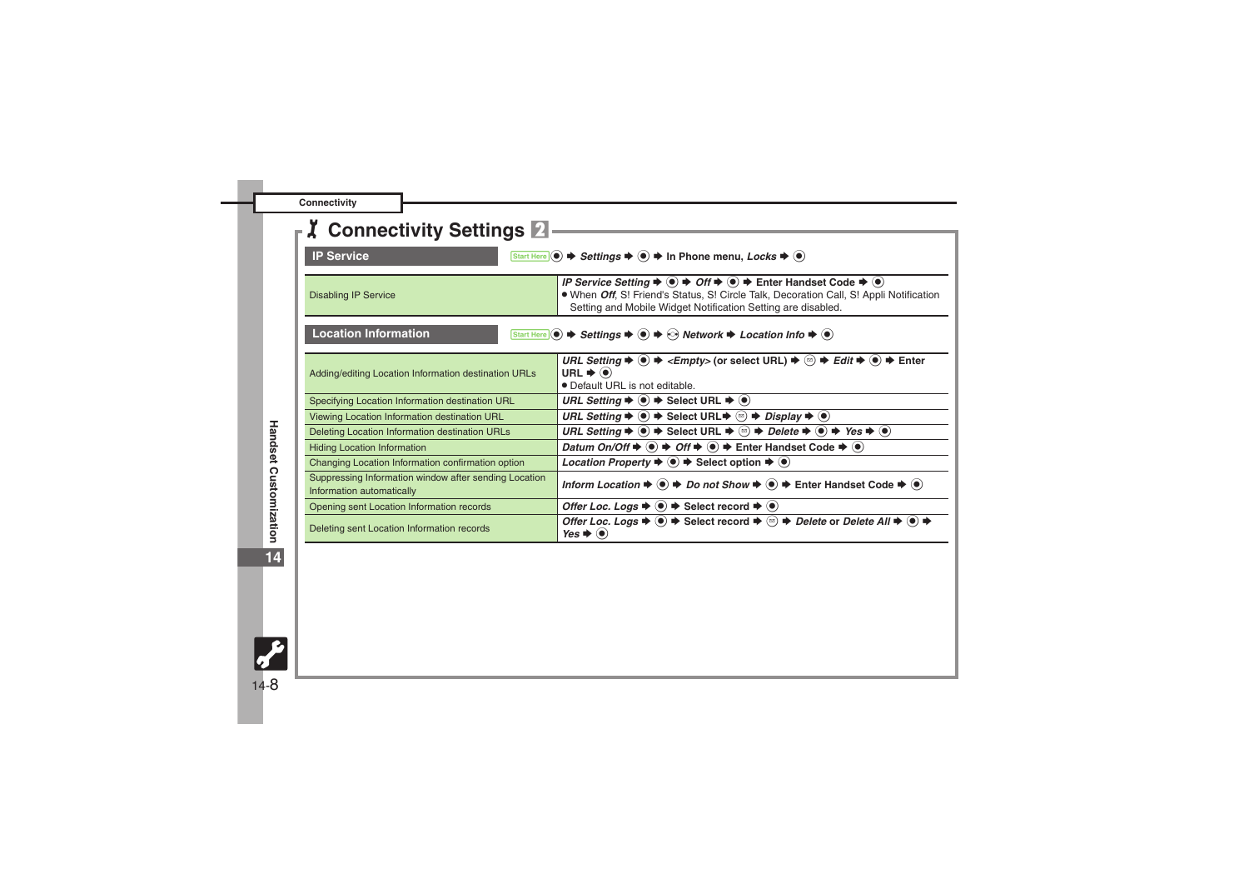|  | Connectivity |  |
|--|--------------|--|
|  |              |  |

<span id="page-7-1"></span><span id="page-7-0"></span>

| <b>X</b> Connectivity Settings 2                                                   |                                                                                                                                                                                                                                                                                                                                     |
|------------------------------------------------------------------------------------|-------------------------------------------------------------------------------------------------------------------------------------------------------------------------------------------------------------------------------------------------------------------------------------------------------------------------------------|
|                                                                                    |                                                                                                                                                                                                                                                                                                                                     |
| <b>IP Service</b>                                                                  | Start Here $\odot \blacktriangleright$ Settings $\blacktriangleright \odot \blacktriangleright$ In Phone menu, Locks $\blacktriangleright \odot$                                                                                                                                                                                    |
| <b>Disabling IP Service</b>                                                        | IP Service Setting $\blacktriangleright$ (a) $\blacktriangleright$ Off $\blacktriangleright$ (a) $\blacktriangleright$ Enter Handset Code $\blacktriangleright$ (a)<br>. When Off, S! Friend's Status, S! Circle Talk, Decoration Call, S! Appli Notification<br>Setting and Mobile Widget Notification Setting are disabled.       |
| <b>Location Information</b>                                                        | Start Here $\odot$ $\blacktriangleright$ Settings $\blacktriangleright$ $\odot$ $\blacktriangleright$ $\odot$ Network $\blacktriangleright$ Location Info $\blacktriangleright$ $\odot$                                                                                                                                             |
| Adding/editing Location Information destination URLs                               | URL Setting $\Rightarrow$ $\circledast \Rightarrow$ <empty> (or select URL) <math>\Rightarrow</math> <math>\circledast \Rightarrow</math> Edit <math>\Rightarrow</math> <math>\circledast \Rightarrow</math> Enter<br/>URL <math>\blacktriangleright</math> (<math>\blacklozenge</math>)<br/>• Default URL is not editable.</empty> |
| Specifying Location Information destination URL                                    | URL Setting $\Rightarrow$ $\bullet$ $\Rightarrow$ Select URL $\Rightarrow$ $\bullet$                                                                                                                                                                                                                                                |
| Viewing Location Information destination URL                                       | URL Setting $\Rightarrow$ $\circledcirc$ $\Rightarrow$ Select URL $\Rightarrow$ $\circledcirc$ $\Rightarrow$ Display $\Rightarrow$ $\circledcirc$                                                                                                                                                                                   |
| Deleting Location Information destination URLs                                     | URL Setting $\Rightarrow$ ( $\bullet$ ) $\Rightarrow$ Select URL $\Rightarrow$ ( $\circ$ ) $\Rightarrow$ Delete $\Rightarrow$ ( $\bullet$ ) $\Rightarrow$ Yes $\Rightarrow$ ( $\bullet$ )                                                                                                                                           |
| <b>Hiding Location Information</b>                                                 | Datum On/Off $\Rightarrow$ $\circledast$ $\Rightarrow$ Off $\Rightarrow$ $\circledast$ $\Rightarrow$ Enter Handset Code $\Rightarrow$ $\circledast$                                                                                                                                                                                 |
| Changing Location Information confirmation option                                  | <i>Location Property</i> $\bullet$ $\bullet$ $\bullet$ Select option $\bullet$ $\bullet$                                                                                                                                                                                                                                            |
| Suppressing Information window after sending Location<br>Information automatically | Inform Location $\Rightarrow$ $\circledast$ $\Rightarrow$ Do not Show $\Rightarrow$ $\circledast$ $\Rightarrow$ Enter Handset Code $\Rightarrow$ $\circledast$                                                                                                                                                                      |
| Opening sent Location Information records                                          | Offer Loc. Logs $\Rightarrow$ $\circledast$ $\Rightarrow$ Select record $\Rightarrow$ $\circledast$                                                                                                                                                                                                                                 |
| Deleting sent Location Information records                                         | Offer Loc. Logs $\Rightarrow$ ( $\bullet$ ) $\Rightarrow$ Select record $\Rightarrow$ ( $\circ$ ) $\Rightarrow$ Delete or Delete All $\Rightarrow$ ( $\bullet$ ) $\Rightarrow$<br>$Yes$ $\bullet$ $\bullet$                                                                                                                         |